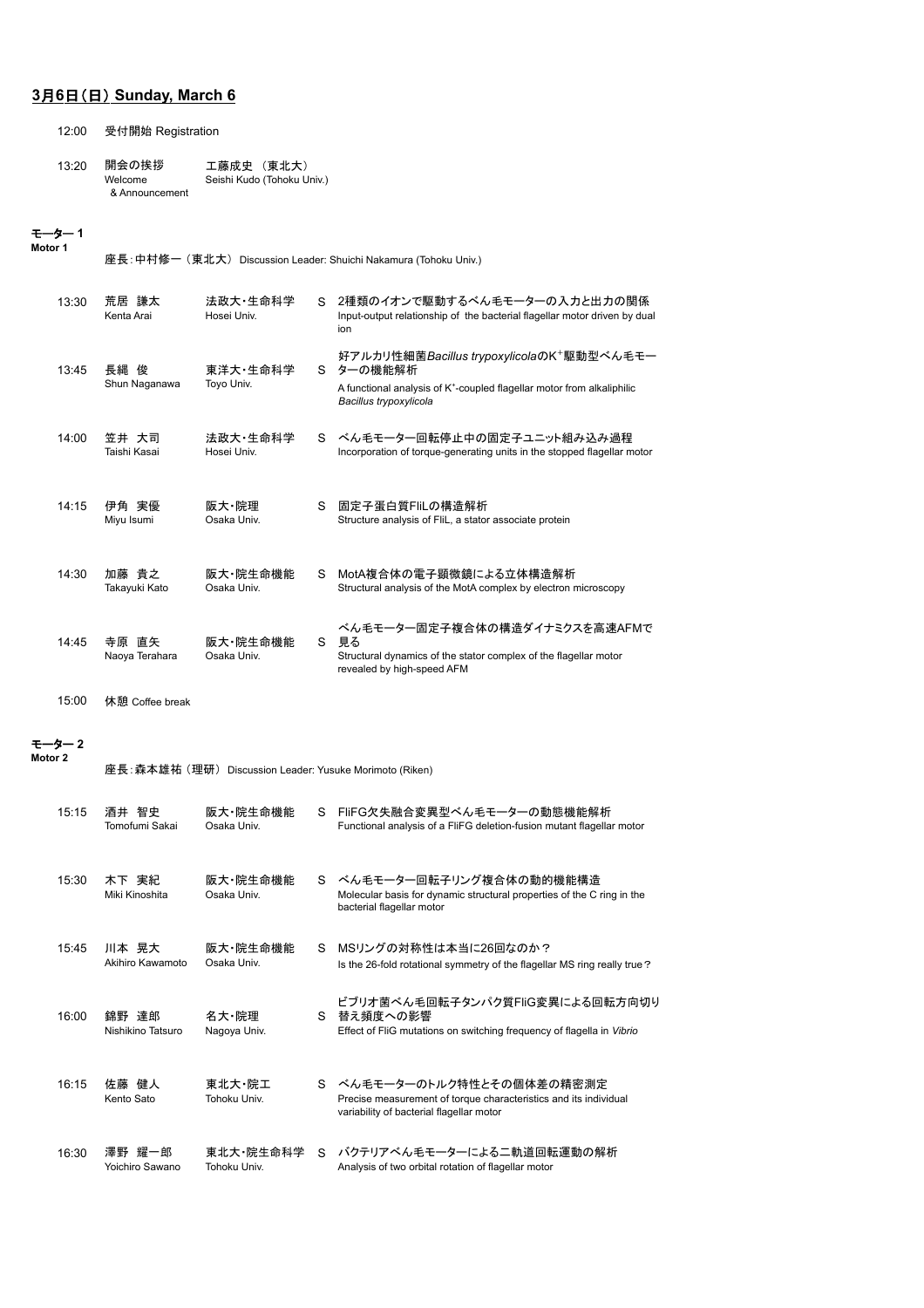# **3**月**6**日(日) **Sunday, March 6**

12:00 受付開始 Registration

| 13:20 | 開会の挨拶          | 工藤成史 (東北大)                 |
|-------|----------------|----------------------------|
|       | Welcome        | Seishi Kudo (Tohoku Univ.) |
|       | & Announcement |                            |

#### モーター **1 Motor 1**

座長:中村修一 (東北大) Discussion Leader: Shuichi Nakamura (Tohoku Univ.)

| 13:30 | 荒居 謙太<br>Kenta Arai     | 法政大 牛命科学<br>Hosei Univ. | S.          | 2種類のイオンで駆動するべん毛モーターの入力と出力の関係<br>Input-output relationship of the bacterial flagellar motor driven by dual<br>ion                                                                  |
|-------|-------------------------|-------------------------|-------------|-----------------------------------------------------------------------------------------------------------------------------------------------------------------------------------|
| 13:45 | 長縄 俊<br>Shun Naganawa   | 東洋大·生命科学<br>Toyo Univ.  | $S_{\perp}$ | 好アルカリ性細菌Bacillus trypoxylicolaのK <sup>+</sup> 駆動型べん毛モー<br>ターの機能解析<br>A functional analysis of K <sup>+</sup> -coupled flagellar motor from alkaliphilic<br>Bacillus trypoxylicola |
| 14:00 | 笠井 大司<br>Taishi Kasai   | 法政大 牛命科学<br>Hosei Univ. | S.          | ベん毛モーター回転停止中の固定子ユニット組み込み過程<br>Incorporation of torque-generating units in the stopped flagellar motor                                                                             |
| 14:15 | 伊角 実優<br>Miyu Isumi     | 阪大·院理<br>Osaka Univ.    | S.          | 固定子蛋白質FliLの構造解析<br>Structure analysis of FliL, a stator associate protein                                                                                                         |
| 14:30 | 加藤 貴之<br>Takayuki Kato  | 阪大 院生命機能<br>Osaka Univ. | S.          | MotA複合体の電子顕微鏡による立体構造解析<br>Structural analysis of the MotA complex by electron microscopy                                                                                          |
| 14:45 | 寺原 直矢<br>Naoya Terahara | 阪大·院生命機能<br>Osaka Univ. | S           | ベん毛モーター固定子複合体の構造ダイナミクスを高速AFMで<br>見る<br>Structural dynamics of the stator complex of the flagellar motor<br>revealed by high-speed AFM                                             |

15:00 休憩 Coffee break

#### モーター **2**

| Motor 2 |       |                            | 座長:森本雄祐 (理研) Discussion Leader: Yusuke Morimoto (Riken) |    |                                                                                                                                            |
|---------|-------|----------------------------|---------------------------------------------------------|----|--------------------------------------------------------------------------------------------------------------------------------------------|
|         | 15:15 | 酒井 智史<br>Tomofumi Sakai    | 阪大 院生命機能<br>Osaka Univ.                                 | S. | FliFG欠失融合変異型べん毛モーターの動態機能解析<br>Functional analysis of a FliFG deletion-fusion mutant flagellar motor                                        |
|         | 15:30 | 木下 実紀<br>Miki Kinoshita    | 阪大·院生命機能<br>Osaka Univ.                                 | S. | ベん毛モーター回転子リング複合体の動的機能構造<br>Molecular basis for dynamic structural properties of the C ring in the<br>bacterial flagellar motor             |
|         | 15:45 | 川本 晃大<br>Akihiro Kawamoto  | 阪大 院生命機能<br>Osaka Univ.                                 | S. | MSリングの対称性は本当に26回なのか?<br>Is the 26-fold rotational symmetry of the flagellar MS ring really true?                                           |
|         | 16:00 | 錦野 達郎<br>Nishikino Tatsuro | 名大·院理<br>Nagoya Univ.                                   |    | ビブリオ菌ベん毛回転子タンパク質FliG変異による回転方向切り<br>S 替え頻度への影響<br>Effect of FliG mutations on switching frequency of flagella in Vibrio                     |
|         | 16:15 | 佐藤 健人<br>Kento Sato        | 東北大・院工<br>Tohoku Univ.                                  |    | S べん毛モーターのトルク特性とその個体差の精密測定<br>Precise measurement of torque characteristics and its individual<br>variability of bacterial flagellar motor |
|         | 16:30 | 澤野 耀一郎<br>Yoichiro Sawano  | 東北大 院生命科学<br>Tohoku Univ.                               | S. | バクテリアべん毛モーターによる二軌道回転運動の解析<br>Analysis of two orbital rotation of flagellar motor                                                           |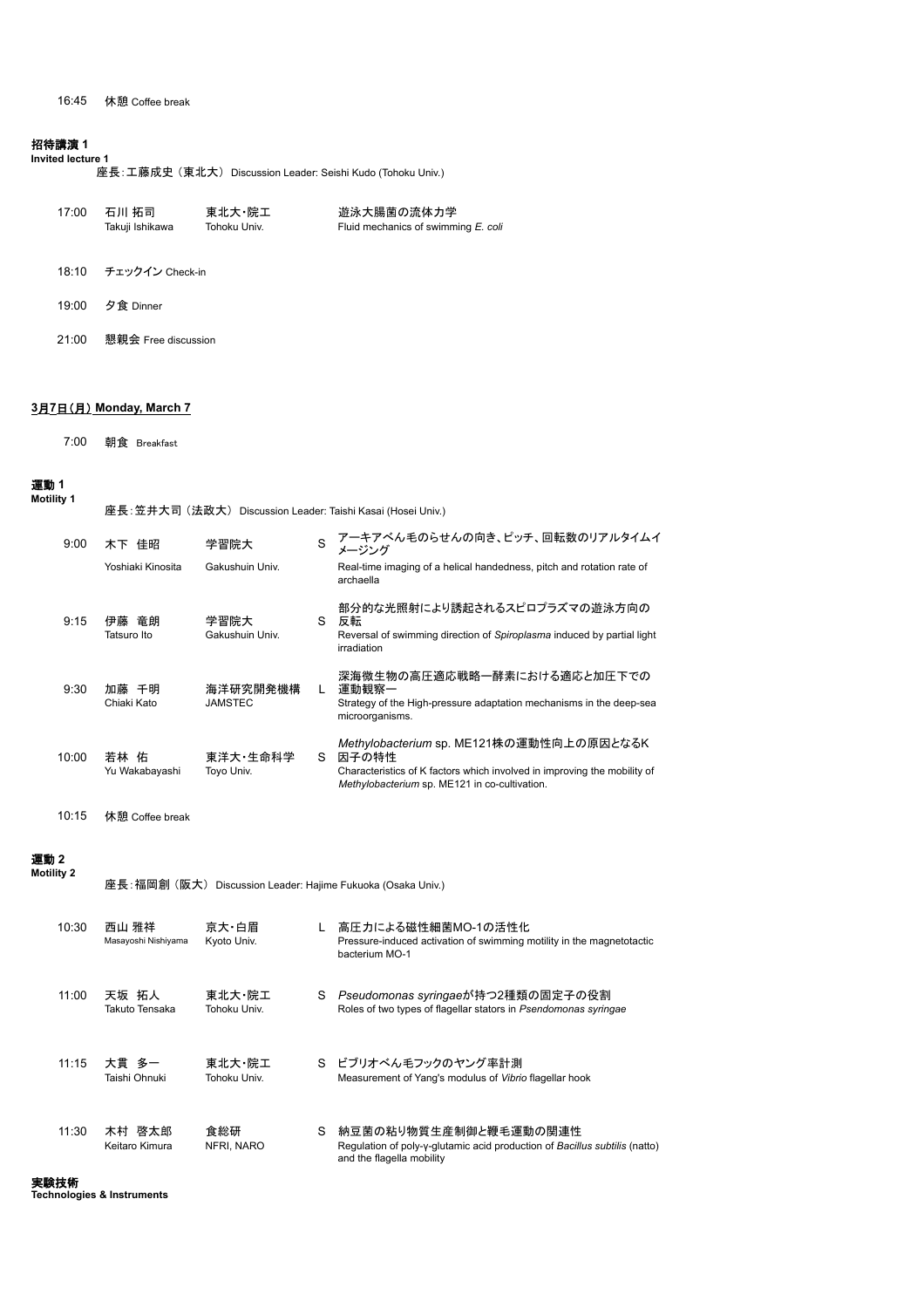### 招待講演 **1**

### **Invited lecture 1**

座長:工藤成史 (東北大) Discussion Leader: Seishi Kudo (Tohoku Univ.)

| 17:00 | 石川 拓司           | 東北大・院工       | 遊泳大腸菌の流体力学                          |
|-------|-----------------|--------------|-------------------------------------|
|       | Takuji Ishikawa | Tohoku Univ. | Fluid mechanics of swimming E. coli |
| 18:10 | チェックイン Check-in |              |                                     |

- 
- 19:00 夕食 Dinner
- 21:00 懇親会 Free discussion

### **3**月**7**日(月) **Monday, March 7**

7:00 朝食 Breakfast

#### 運動 **1 Motility 1**

座長:笠井大司 (法政大) Discussion Leader: Taishi Kasai (Hosei Univ.)

| 9:00  | 木下 佳昭                   | 学習院大                       | S  | アーキアべん毛のらせんの向き、ピッチ、回転数のリアルタイムイ<br>メージング                                                                                                                                        |
|-------|-------------------------|----------------------------|----|--------------------------------------------------------------------------------------------------------------------------------------------------------------------------------|
|       | Yoshiaki Kinosita       | Gakushuin Univ.            |    | Real-time imaging of a helical handedness, pitch and rotation rate of<br>archaella                                                                                             |
| 9:15  | 伊藤 竜朗<br>Tatsuro Ito    | 学習院大<br>Gakushuin Univ.    | S. | 部分的な光照射により誘起されるスピロプラズマの遊泳方向の<br>反転<br>Reversal of swimming direction of Spiroplasma induced by partial light<br>irradiation                                                    |
| 9:30  | 千明<br>加藤<br>Chiaki Kato | 海洋研究開発機構<br><b>JAMSTEC</b> |    | 深海微生物の高圧適応戦略一酵素における適応と加圧下での<br>運動観察一<br>Strategy of the High-pressure adaptation mechanisms in the deep-sea<br>microorganisms.                                                 |
| 10:00 | 若林 佑<br>Yu Wakabayashi  | 東洋大·生命科学<br>Toyo Univ.     | S. | Methylobacterium sp. ME121株の運動性向上の原因となるK<br>因子の特性<br>Characteristics of K factors which involved in improving the mobility of<br>Methylobacterium sp. ME121 in co-cultivation. |

```
10:15 休憩 Coffee break
```
#### 運動 **2 Motility 2**

座長:福岡創 (阪大) Discussion Leader: Hajime Fukuoka (Osaka Univ.)

| 10:30 | 西山 雅祥<br>Masayoshi Nishiyama | 京大・白眉<br>Kyoto Univ.   |   | 高圧力による磁性細菌MO-1の活性化<br>Pressure-induced activation of swimming motility in the magnetotactic<br>bacterium MO-1                    |
|-------|------------------------------|------------------------|---|----------------------------------------------------------------------------------------------------------------------------------|
| 11:00 | 天坂 拓人<br>Takuto Tensaka      | 東北大・院工<br>Tohoku Univ. | S | <i>Pseudomonas syringae</i> が持つ2種類の固定子の役割<br>Roles of two types of flagellar stators in Psendomonas syringae                     |
| 11:15 | 大貫 多一<br>Taishi Ohnuki       | 東北大・院工<br>Tohoku Univ. |   | S ビブリオべん毛フックのヤング率計測<br>Measurement of Yang's modulus of Vibrio flagellar hook                                                    |
| 11:30 | 木村 啓太郎<br>Keitaro Kimura     | 食総研<br>NFRI, NARO      | S | 納豆菌の粘り物質生産制御と鞭毛運動の関連性<br>Regulation of poly-y-glutamic acid production of Bacillus subtilis (natto)<br>and the flagella mobility |

実験技術 **Technologies & Instruments**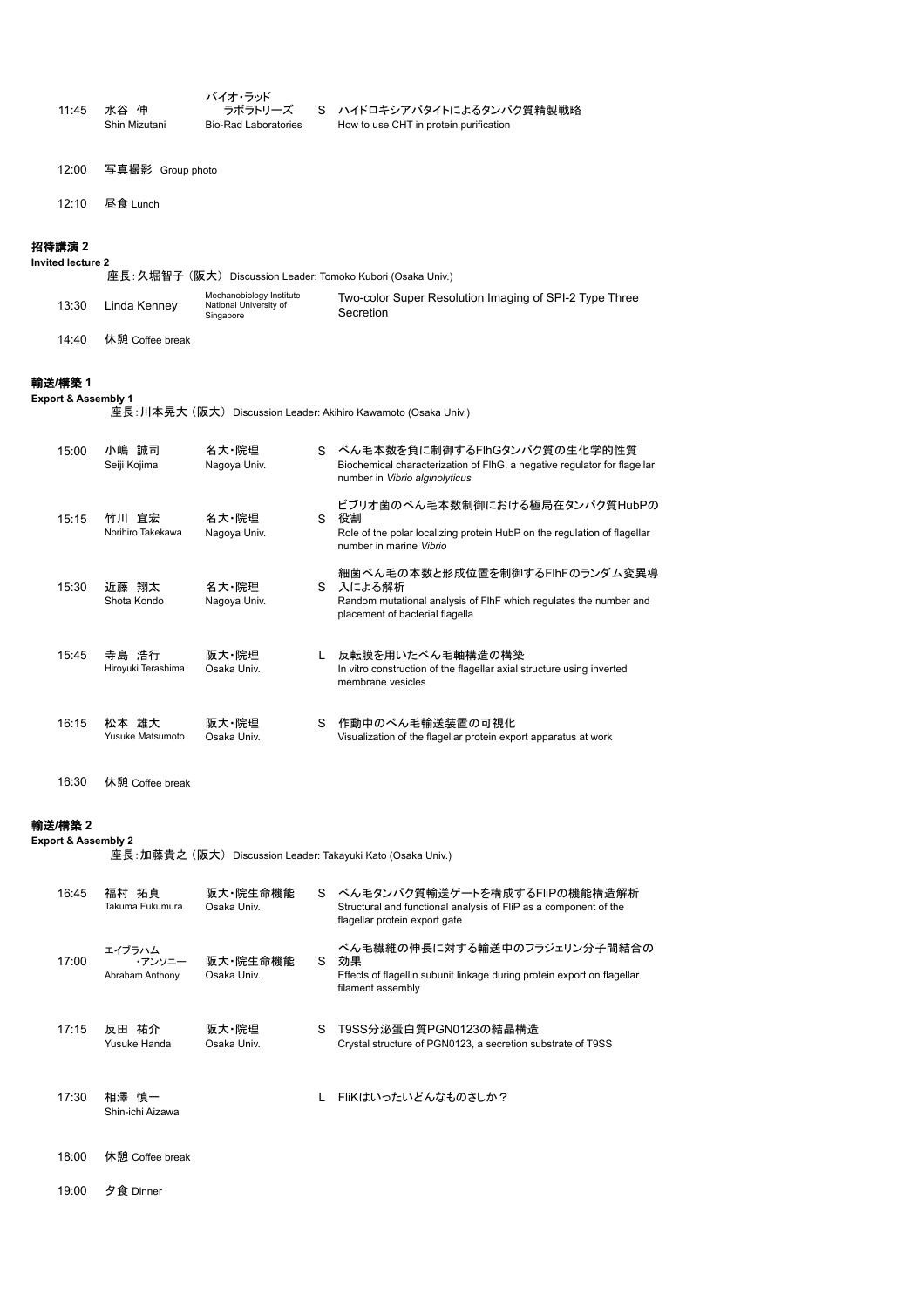| 11:45 | 水谷<br>伸<br>Shin Mizutani | バイオ・ラッド<br>ラボラトリーズ<br><b>Bio-Rad Laboratories</b> | S ハイドロキシアパタイトによるタンパク質精製戦略<br>How to use CHT in protein purification |
|-------|--------------------------|---------------------------------------------------|---------------------------------------------------------------------|
| 12:00 | 写真撮影 Group photo         |                                                   |                                                                     |
| 12:10 | 昼食 Lunch                 |                                                   |                                                                     |

### 招待講演 **2**

**Invited lecture 2**

|       |                 | 座長: 久堀智子 (阪大) Discussion Leader: Tomoko Kubori (Osaka Univ.)    |                                                                     |
|-------|-----------------|-----------------------------------------------------------------|---------------------------------------------------------------------|
| 13:30 | Linda Kenney    | Mechanobiology Institute<br>National University of<br>Singapore | Two-color Super Resolution Imaging of SPI-2 Type Three<br>Secretion |
| 14:40 | 休憩 Coffee break |                                                                 |                                                                     |

# 輸送**/**構築 **1**

**Export & Assembly 1**

座長:川本晃大 (阪大) Discussion Leader: Akihiro Kawamoto (Osaka Univ.)

| 15:00 | 小嶋 誠司<br>Seiji Kojima       | 名大·院理<br>Nagoya Univ. |    | S ベん毛本数を負に制御するFlhGタンパク質の生化学的性質<br>Biochemical characterization of FIhG, a negative regulator for flagellar<br>number in Vibrio alginolyticus       |
|-------|-----------------------------|-----------------------|----|----------------------------------------------------------------------------------------------------------------------------------------------------|
| 15:15 | 竹川 宜宏<br>Norihiro Takekawa  | 名大·院理<br>Nagoya Univ. | S. | ビブリオ菌のべん毛本数制御における極局在タンパク質HubPの<br>役割<br>Role of the polar localizing protein HubP on the regulation of flagellar<br>number in marine Vibrio        |
| 15:30 | 近藤 翔太<br>Shota Kondo        | 名大·院理<br>Nagoya Univ. |    | 細菌べん毛の本数と形成位置を制御するFIhFのランダム変異導<br>S 入による解析<br>Random mutational analysis of FIhF which regulates the number and<br>placement of bacterial flagella |
| 15:45 | 寺島 浩行<br>Hiroyuki Terashima | 阪大·院理<br>Osaka Univ.  |    | L 反転膜を用いたべん毛軸構造の構築<br>In vitro construction of the flagellar axial structure using inverted<br>membrane vesicles                                   |
| 16:15 | 松本 雄大<br>Yusuke Matsumoto   | 阪大·院理<br>Osaka Univ.  | S  | 作動中のべん毛輸送装置の可視化<br>Visualization of the flagellar protein export apparatus at work                                                                 |

16:30 休憩 Coffee break

# 輸送**/**構築 **2**

**Export & Assembly 2**

座長:加藤貴之 (阪大) Discussion Leader: Takayuki Kato (Osaka Univ.)

| 16:45 | 福村 拓真<br>Takuma Fukumura            | 阪大 院生命機能<br>Osaka Univ. | S. | ベん毛タンパク質輸送ゲートを構成するFliPの機能構造解析<br>Structural and functional analysis of FliP as a component of the<br>flagellar protein export gate |
|-------|-------------------------------------|-------------------------|----|------------------------------------------------------------------------------------------------------------------------------------|
| 17:00 | エイブラハム<br>・アンソニー<br>Abraham Anthony | 阪大·院生命機能<br>Osaka Univ. | S. | ベん毛繊維の伸長に対する輸送中のフラジェリン分子間結合の<br>効果<br>Effects of flagellin subunit linkage during protein export on flagellar<br>filament assembly |
| 17:15 | 祐介<br>反田<br>Yusuke Handa            | 阪大·院理<br>Osaka Univ.    | S  | T9SS分泌蛋白質PGN0123の結晶構造<br>Crystal structure of PGN0123, a secretion substrate of T9SS                                               |
| 17:30 | 相澤 慎一<br>Shin-ichi Aizawa           |                         | L  | FliKはいったいどんなものさしか?                                                                                                                 |
| 18:00 | 休憩 Coffee break                     |                         |    |                                                                                                                                    |

19:00 夕食 Dinner